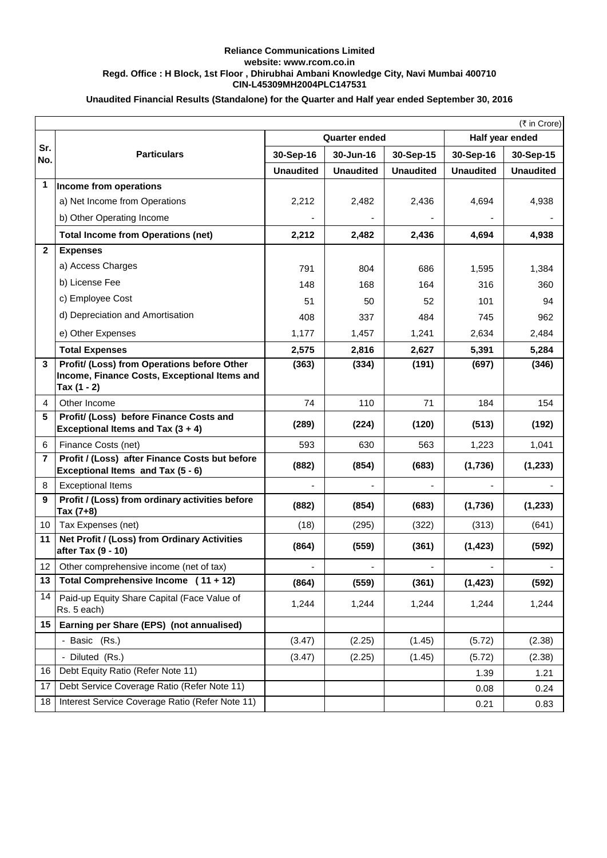## **Reliance Communications Limited website: www.rcom.co.in Regd. Office : H Block, 1st Floor , Dhirubhai Ambani Knowledge City, Navi Mumbai 400710 CIN-L45309MH2004PLC147531**

## **Unaudited Financial Results (Standalone) for the Quarter and Half year ended September 30, 2016**

|                 | (₹ in Crore)                                                                        |                      |                  |                  |                  |                  |  |
|-----------------|-------------------------------------------------------------------------------------|----------------------|------------------|------------------|------------------|------------------|--|
|                 | <b>Particulars</b>                                                                  | <b>Quarter ended</b> |                  |                  |                  | Half year ended  |  |
| Sr.<br>No.      |                                                                                     | 30-Sep-16            | 30-Jun-16        | 30-Sep-15        | 30-Sep-16        | 30-Sep-15        |  |
|                 |                                                                                     | <b>Unaudited</b>     | <b>Unaudited</b> | <b>Unaudited</b> | <b>Unaudited</b> | <b>Unaudited</b> |  |
| 1               | Income from operations                                                              |                      |                  |                  |                  |                  |  |
|                 | a) Net Income from Operations                                                       | 2,212                | 2,482            | 2,436            | 4,694            | 4,938            |  |
|                 | b) Other Operating Income                                                           |                      |                  |                  |                  |                  |  |
|                 | <b>Total Income from Operations (net)</b>                                           | 2,212                | 2,482            | 2,436            | 4,694            | 4,938            |  |
| $\mathbf{2}$    | <b>Expenses</b>                                                                     |                      |                  |                  |                  |                  |  |
|                 | a) Access Charges                                                                   | 791                  | 804              | 686              | 1,595            | 1,384            |  |
|                 | b) License Fee                                                                      | 148                  | 168              | 164              | 316              | 360              |  |
|                 | c) Employee Cost                                                                    | 51                   | 50               | 52               | 101              | 94               |  |
|                 | d) Depreciation and Amortisation                                                    | 408                  | 337              | 484              | 745              | 962              |  |
|                 | e) Other Expenses                                                                   | 1,177                | 1,457            | 1,241            | 2,634            | 2,484            |  |
|                 | <b>Total Expenses</b>                                                               | 2,575                | 2,816            | 2,627            | 5,391            | 5,284            |  |
| 3               | Profit/ (Loss) from Operations before Other                                         | (363)                | (334)            | (191)            | (697)            | (346)            |  |
|                 | Income, Finance Costs, Exceptional Items and<br>Tax (1 - 2)                         |                      |                  |                  |                  |                  |  |
| 4               | Other Income                                                                        | 74                   | 110              | 71               | 184              | 154              |  |
| 5               | Profit/ (Loss) before Finance Costs and<br>Exceptional Items and Tax $(3 + 4)$      | (289)                | (224)            | (120)            | (513)            | (192)            |  |
| 6               | Finance Costs (net)                                                                 | 593                  | 630              | 563              | 1,223            | 1,041            |  |
| $\overline{7}$  | Profit / (Loss) after Finance Costs but before<br>Exceptional Items and Tax (5 - 6) | (882)                | (854)            | (683)            | (1,736)          | (1, 233)         |  |
| 8               | <b>Exceptional Items</b>                                                            |                      |                  |                  |                  |                  |  |
| 9               | Profit / (Loss) from ordinary activities before<br>Tax (7+8)                        | (882)                | (854)            | (683)            | (1,736)          | (1, 233)         |  |
| 10              | Tax Expenses (net)                                                                  | (18)                 | (295)            | (322)            | (313)            | (641)            |  |
| 11              | Net Profit / (Loss) from Ordinary Activities<br>after Tax (9 - 10)                  | (864)                | (559)            | (361)            | (1, 423)         | (592)            |  |
| 12              | Other comprehensive income (net of tax)                                             |                      |                  |                  |                  |                  |  |
| 13              | Total Comprehensive Income (11 + 12)                                                | (864)                | (559)            | (361)            | (1, 423)         | (592)            |  |
| 14              | Paid-up Equity Share Capital (Face Value of<br>Rs. 5 each)                          | 1,244                | 1,244            | 1,244            | 1,244            | 1,244            |  |
| 15 <sub>1</sub> | Earning per Share (EPS) (not annualised)                                            |                      |                  |                  |                  |                  |  |
|                 | - Basic (Rs.)                                                                       | (3.47)               | (2.25)           | (1.45)           | (5.72)           | (2.38)           |  |
|                 | - Diluted (Rs.)                                                                     | (3.47)               | (2.25)           | (1.45)           | (5.72)           | (2.38)           |  |
| 16              | Debt Equity Ratio (Refer Note 11)                                                   |                      |                  |                  | 1.39             | 1.21             |  |
| 17              | Debt Service Coverage Ratio (Refer Note 11)                                         |                      |                  |                  | 0.08             | 0.24             |  |
| 18              | Interest Service Coverage Ratio (Refer Note 11)                                     |                      |                  |                  | 0.21             | 0.83             |  |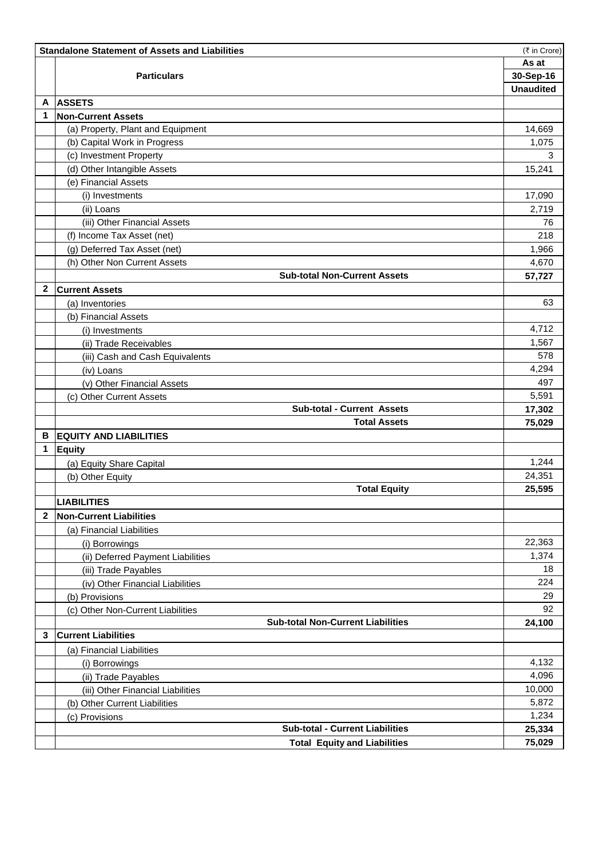|   | <b>Standalone Statement of Assets and Liabilities</b><br>(₹ in Crore) |                  |  |  |  |
|---|-----------------------------------------------------------------------|------------------|--|--|--|
|   |                                                                       |                  |  |  |  |
|   | <b>Particulars</b>                                                    | 30-Sep-16        |  |  |  |
|   |                                                                       | <b>Unaudited</b> |  |  |  |
| A | <b>ASSETS</b>                                                         |                  |  |  |  |
| 1 | <b>Non-Current Assets</b>                                             |                  |  |  |  |
|   | (a) Property, Plant and Equipment                                     | 14,669           |  |  |  |
|   | (b) Capital Work in Progress                                          | 1,075            |  |  |  |
|   | (c) Investment Property                                               | 3                |  |  |  |
|   | (d) Other Intangible Assets                                           | 15,241           |  |  |  |
|   | (e) Financial Assets                                                  |                  |  |  |  |
|   | (i) Investments                                                       | 17,090           |  |  |  |
|   | (ii) Loans                                                            | 2,719            |  |  |  |
|   | (iii) Other Financial Assets                                          | 76               |  |  |  |
|   | (f) Income Tax Asset (net)                                            | 218              |  |  |  |
|   | (g) Deferred Tax Asset (net)                                          | 1,966            |  |  |  |
|   | (h) Other Non Current Assets                                          | 4,670            |  |  |  |
|   | <b>Sub-total Non-Current Assets</b>                                   | 57,727           |  |  |  |
| 2 | <b>Current Assets</b>                                                 |                  |  |  |  |
|   | (a) Inventories                                                       | 63               |  |  |  |
|   | (b) Financial Assets                                                  |                  |  |  |  |
|   | (i) Investments                                                       | 4,712            |  |  |  |
|   | (ii) Trade Receivables                                                | 1,567            |  |  |  |
|   | (iii) Cash and Cash Equivalents                                       | 578              |  |  |  |
|   | (iv) Loans                                                            | 4,294            |  |  |  |
|   | (v) Other Financial Assets                                            | 497              |  |  |  |
|   | (c) Other Current Assets                                              | 5,591            |  |  |  |
|   | <b>Sub-total - Current Assets</b>                                     | 17,302           |  |  |  |
|   | <b>Total Assets</b>                                                   | 75,029           |  |  |  |
| В | <b>EQUITY AND LIABILITIES</b>                                         |                  |  |  |  |
| 1 | Equity                                                                |                  |  |  |  |
|   | (a) Equity Share Capital                                              | 1,244            |  |  |  |
|   | (b) Other Equity                                                      | 24,351           |  |  |  |
|   | <b>Total Equity</b>                                                   | 25,595           |  |  |  |
|   | <b>LIABILITIES</b>                                                    |                  |  |  |  |
| 2 | <b>Non-Current Liabilities</b>                                        |                  |  |  |  |
|   | (a) Financial Liabilities                                             |                  |  |  |  |
|   | (i) Borrowings                                                        | 22,363           |  |  |  |
|   | (ii) Deferred Payment Liabilities                                     | 1,374            |  |  |  |
|   | (iii) Trade Payables                                                  | 18               |  |  |  |
|   | (iv) Other Financial Liabilities                                      | 224              |  |  |  |
|   | (b) Provisions                                                        | 29               |  |  |  |
|   | (c) Other Non-Current Liabilities                                     | 92               |  |  |  |
|   | <b>Sub-total Non-Current Liabilities</b>                              | 24,100           |  |  |  |
| 3 | <b>Current Liabilities</b>                                            |                  |  |  |  |
|   | (a) Financial Liabilities                                             |                  |  |  |  |
|   | (i) Borrowings                                                        | 4,132            |  |  |  |
|   | (ii) Trade Payables                                                   | 4,096            |  |  |  |
|   | (iii) Other Financial Liabilities                                     | 10,000           |  |  |  |
|   | (b) Other Current Liabilities                                         | 5,872            |  |  |  |
|   | (c) Provisions                                                        | 1,234            |  |  |  |
|   | <b>Sub-total - Current Liabilities</b>                                | 25,334           |  |  |  |
|   | <b>Total Equity and Liabilities</b>                                   | 75,029           |  |  |  |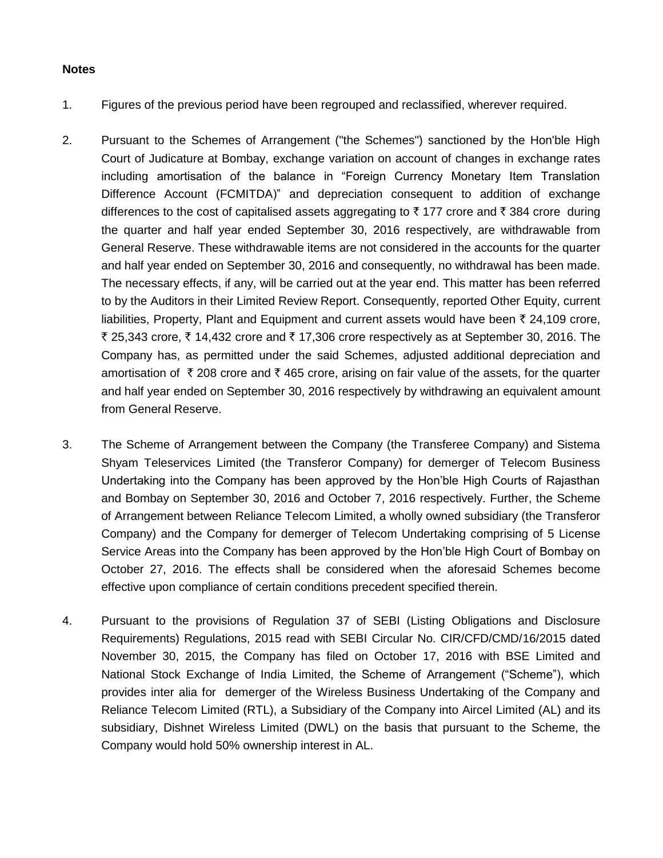## **Notes**

- 1. Figures of the previous period have been regrouped and reclassified, wherever required.
- 2. Pursuant to the Schemes of Arrangement ("the Schemes") sanctioned by the Hon'ble High Court of Judicature at Bombay, exchange variation on account of changes in exchange rates including amortisation of the balance in "Foreign Currency Monetary Item Translation Difference Account (FCMITDA)" and depreciation consequent to addition of exchange differences to the cost of capitalised assets aggregating to  $\bar{\tau}$  177 crore and  $\bar{\tau}$  384 crore during the quarter and half year ended September 30, 2016 respectively, are withdrawable from General Reserve. These withdrawable items are not considered in the accounts for the quarter and half year ended on September 30, 2016 and consequently, no withdrawal has been made. The necessary effects, if any, will be carried out at the year end. This matter has been referred to by the Auditors in their Limited Review Report. Consequently, reported Other Equity, current liabilities, Property, Plant and Equipment and current assets would have been  $\bar{\tau}$  24,109 crore, र 25,343 crore, रू 14,432 crore and रू 17,306 crore respectively as at September 30, 2016. The Company has, as permitted under the said Schemes, adjusted additional depreciation and amortisation of  $\bar{\tau}$  208 crore and  $\bar{\tau}$  465 crore, arising on fair value of the assets, for the quarter and half year ended on September 30, 2016 respectively by withdrawing an equivalent amount from General Reserve.
- 3. The Scheme of Arrangement between the Company (the Transferee Company) and Sistema Shyam Teleservices Limited (the Transferor Company) for demerger of Telecom Business Undertaking into the Company has been approved by the Hon'ble High Courts of Rajasthan and Bombay on September 30, 2016 and October 7, 2016 respectively. Further, the Scheme of Arrangement between Reliance Telecom Limited, a wholly owned subsidiary (the Transferor Company) and the Company for demerger of Telecom Undertaking comprising of 5 License Service Areas into the Company has been approved by the Hon'ble High Court of Bombay on October 27, 2016. The effects shall be considered when the aforesaid Schemes become effective upon compliance of certain conditions precedent specified therein.
- 4. Pursuant to the provisions of Regulation 37 of SEBI (Listing Obligations and Disclosure Requirements) Regulations, 2015 read with SEBI Circular No. CIR/CFD/CMD/16/2015 dated November 30, 2015, the Company has filed on October 17, 2016 with BSE Limited and National Stock Exchange of India Limited, the Scheme of Arrangement ("Scheme"), which provides inter alia for demerger of the Wireless Business Undertaking of the Company and Reliance Telecom Limited (RTL), a Subsidiary of the Company into Aircel Limited (AL) and its subsidiary, Dishnet Wireless Limited (DWL) on the basis that pursuant to the Scheme, the Company would hold 50% ownership interest in AL.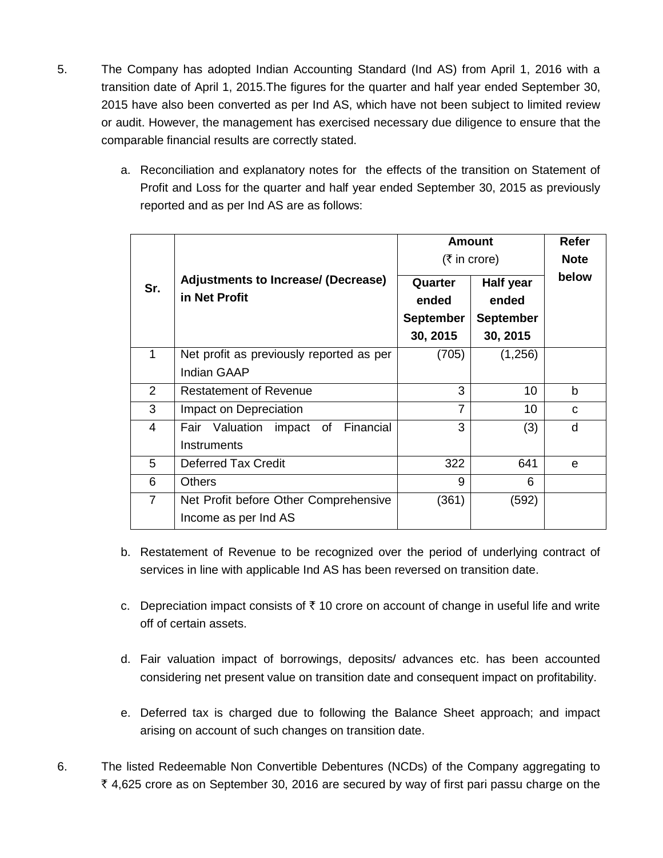- 5. The Company has adopted Indian Accounting Standard (Ind AS) from April 1, 2016 with a transition date of April 1, 2015.The figures for the quarter and half year ended September 30, 2015 have also been converted as per Ind AS, which have not been subject to limited review or audit. However, the management has exercised necessary due diligence to ensure that the comparable financial results are correctly stated.
	- a. Reconciliation and explanatory notes for the effects of the transition on Statement of Profit and Loss for the quarter and half year ended September 30, 2015 as previously reported and as per Ind AS are as follows:

|                |                                                                | <b>Amount</b><br>(₹ in core)                     | Refer<br><b>Note</b>                               |       |
|----------------|----------------------------------------------------------------|--------------------------------------------------|----------------------------------------------------|-------|
| Sr.            | <b>Adjustments to Increase/ (Decrease)</b><br>in Net Profit    | Quarter<br>ended<br><b>September</b><br>30, 2015 | Half year<br>ended<br><b>September</b><br>30, 2015 | below |
| 1              | Net profit as previously reported as per<br><b>Indian GAAP</b> | (705)                                            | (1,256)                                            |       |
| 2              | <b>Restatement of Revenue</b>                                  | 3                                                | 10                                                 | b     |
| 3              | Impact on Depreciation                                         | $\overline{7}$                                   | 10                                                 | C     |
| 4              | impact of Financial<br>Fair Valuation<br>Instruments           | 3                                                | (3)                                                | d     |
| 5              | <b>Deferred Tax Credit</b>                                     | 322                                              | 641                                                | e     |
| 6              | <b>Others</b>                                                  | 9                                                | 6                                                  |       |
| $\overline{7}$ | Net Profit before Other Comprehensive<br>Income as per Ind AS  | (361)                                            | (592)                                              |       |

- b. Restatement of Revenue to be recognized over the period of underlying contract of services in line with applicable Ind AS has been reversed on transition date.
- c. Depreciation impact consists of  $\bar{\tau}$  10 crore on account of change in useful life and write off of certain assets.
- d. Fair valuation impact of borrowings, deposits/ advances etc. has been accounted considering net present value on transition date and consequent impact on profitability.
- e. Deferred tax is charged due to following the Balance Sheet approach; and impact arising on account of such changes on transition date.
- 6. The listed Redeemable Non Convertible Debentures (NCDs) of the Company aggregating to  $\bar{\tau}$  4,625 crore as on September 30, 2016 are secured by way of first pari passu charge on the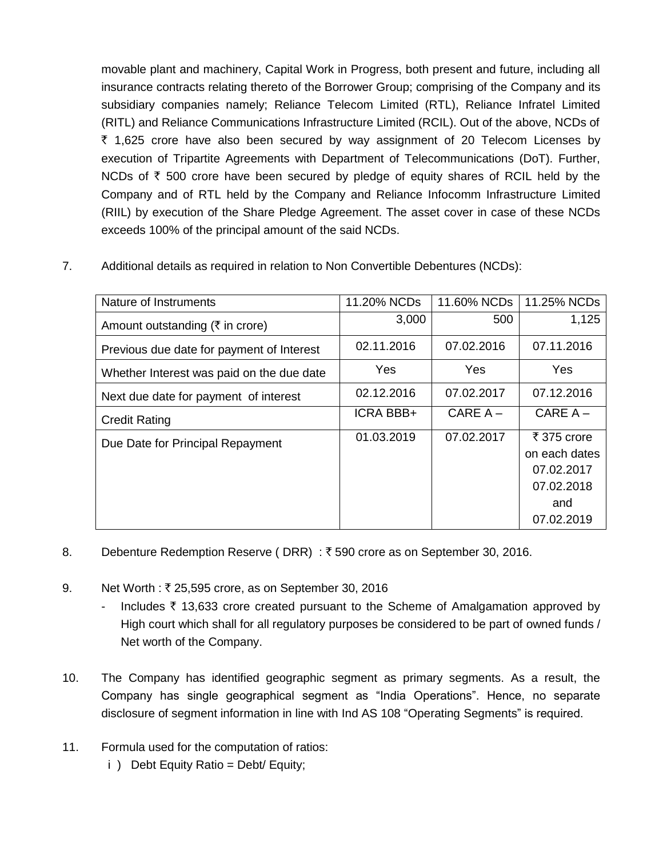movable plant and machinery, Capital Work in Progress, both present and future, including all insurance contracts relating thereto of the Borrower Group; comprising of the Company and its subsidiary companies namely; Reliance Telecom Limited (RTL), Reliance Infratel Limited (RITL) and Reliance Communications Infrastructure Limited (RCIL). Out of the above, NCDs of ` 1,625 crore have also been secured by way assignment of 20 Telecom Licenses by execution of Tripartite Agreements with Department of Telecommunications (DoT). Further, NCDs of  $\bar{\tau}$  500 crore have been secured by pledge of equity shares of RCIL held by the Company and of RTL held by the Company and Reliance Infocomm Infrastructure Limited (RIIL) by execution of the Share Pledge Agreement. The asset cover in case of these NCDs exceeds 100% of the principal amount of the said NCDs.

7. Additional details as required in relation to Non Convertible Debentures (NCDs):

| Nature of Instruments                           | 11.20% NCDs      | 11.60% NCDs | 11.25% NCDs                                                                   |
|-------------------------------------------------|------------------|-------------|-------------------------------------------------------------------------------|
| Amount outstanding ( $\overline{\xi}$ in crore) | 3,000            | 500         | 1,125                                                                         |
| Previous due date for payment of Interest       | 02.11.2016       | 07.02.2016  | 07.11.2016                                                                    |
| Whether Interest was paid on the due date       | <b>Yes</b>       | Yes         | <b>Yes</b>                                                                    |
| Next due date for payment of interest           | 02.12.2016       | 07.02.2017  | 07.12.2016                                                                    |
| <b>Credit Rating</b>                            | <b>ICRA BBB+</b> | $CAREA -$   | CARE $A -$                                                                    |
| Due Date for Principal Repayment                | 01.03.2019       | 07.02.2017  | ₹ 375 crore<br>on each dates<br>07.02.2017<br>07.02.2018<br>and<br>07.02.2019 |

- 8. Debenture Redemption Reserve (DRR) :  $\bar{\tau}$  590 crore as on September 30, 2016.
- 9. Net Worth :  $\overline{\tau}$  25,595 crore, as on September 30, 2016
	- Includes  $\bar{\tau}$  13,633 crore created pursuant to the Scheme of Amalgamation approved by High court which shall for all regulatory purposes be considered to be part of owned funds / Net worth of the Company.
- 10. The Company has identified geographic segment as primary segments. As a result, the Company has single geographical segment as "India Operations". Hence, no separate disclosure of segment information in line with Ind AS 108 "Operating Segments" is required.
- 11. Formula used for the computation of ratios:
	- i ) Debt Equity Ratio = Debt/ Equity;